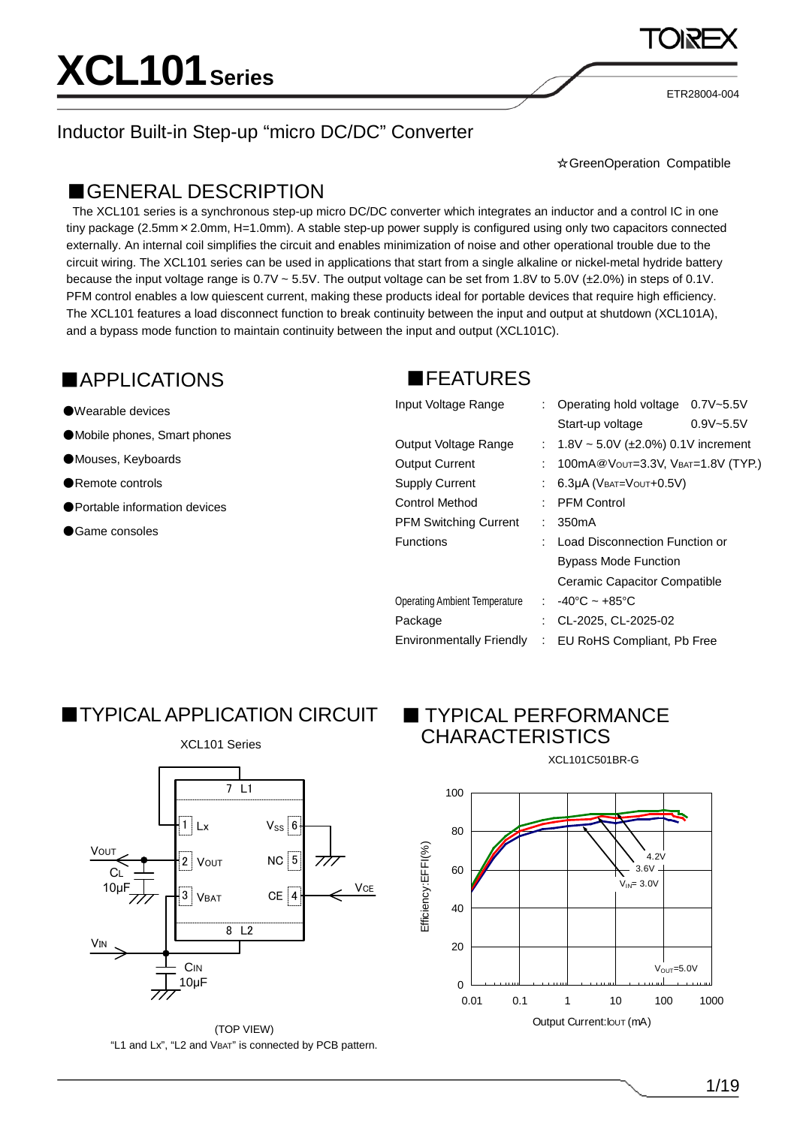ETR28004-004

#### Inductor Built-in Step-up "micro DC/DC" Converter

☆GreenOperation Compatible

#### ■GENERAL DESCRIPTION

The XCL101 series is a synchronous step-up micro DC/DC converter which integrates an inductor and a control IC in one tiny package (2.5mm×2.0mm, H=1.0mm). A stable step-up power supply is configured using only two capacitors connected externally. An internal coil simplifies the circuit and enables minimization of noise and other operational trouble due to the circuit wiring. The XCL101 series can be used in applications that start from a single alkaline or nickel-metal hydride battery because the input voltage range is 0.7V ~ 5.5V. The output voltage can be set from 1.8V to 5.0V (±2.0%) in steps of 0.1V. PFM control enables a low quiescent current, making these products ideal for portable devices that require high efficiency. The XCL101 features a load disconnect function to break continuity between the input and output at shutdown (XCL101A), and a bypass mode function to maintain continuity between the input and output (XCL101C).

#### ■APPLICATIONS ■FEATURES

#### ●Wearable devices

- ●Mobile phones, Smart phones
- ●Mouses, Keyboards
- ●Remote controls
- ●Portable information devices
- Game consoles

| Input Voltage Range             |   | : Operating hold voltage                  | $0.7V - 5.5V$ |
|---------------------------------|---|-------------------------------------------|---------------|
|                                 |   | Start-up voltage                          | $0.9V - 5.5V$ |
| Output Voltage Range            |   | : $1.8V \sim 5.0V$ (±2.0%) 0.1V increment |               |
| <b>Output Current</b>           |   | 100mA@Vout=3.3V, VBAT=1.8V (TYP.)         |               |
| <b>Supply Current</b>           |   | 6.3µA (VBAT=VOUT+0.5V)                    |               |
| <b>Control Method</b>           |   | <b>PFM Control</b>                        |               |
| <b>PFM Switching Current</b>    |   | 350 <sub>m</sub> A                        |               |
| Functions                       |   | Load Disconnection Function or            |               |
|                                 |   | <b>Bypass Mode Function</b>               |               |
|                                 |   | Ceramic Capacitor Compatible              |               |
| Operating Ambient Temperature   |   | : $-40^{\circ}$ C ~ $+85^{\circ}$ C       |               |
| Package                         |   | CL-2025, CL-2025-02                       |               |
| <b>Environmentally Friendly</b> | ÷ | EU RoHS Compliant, Pb Free                |               |

### **TYPICAL APPLICATION CIRCUIT**



(TOP VIEW) "L1 and Lx", "L2 and VBAT" is connected by PCB pattern.

### **TYPICAL PERFORMANCE** CHARACTERISTICS



XCL101C501BR-G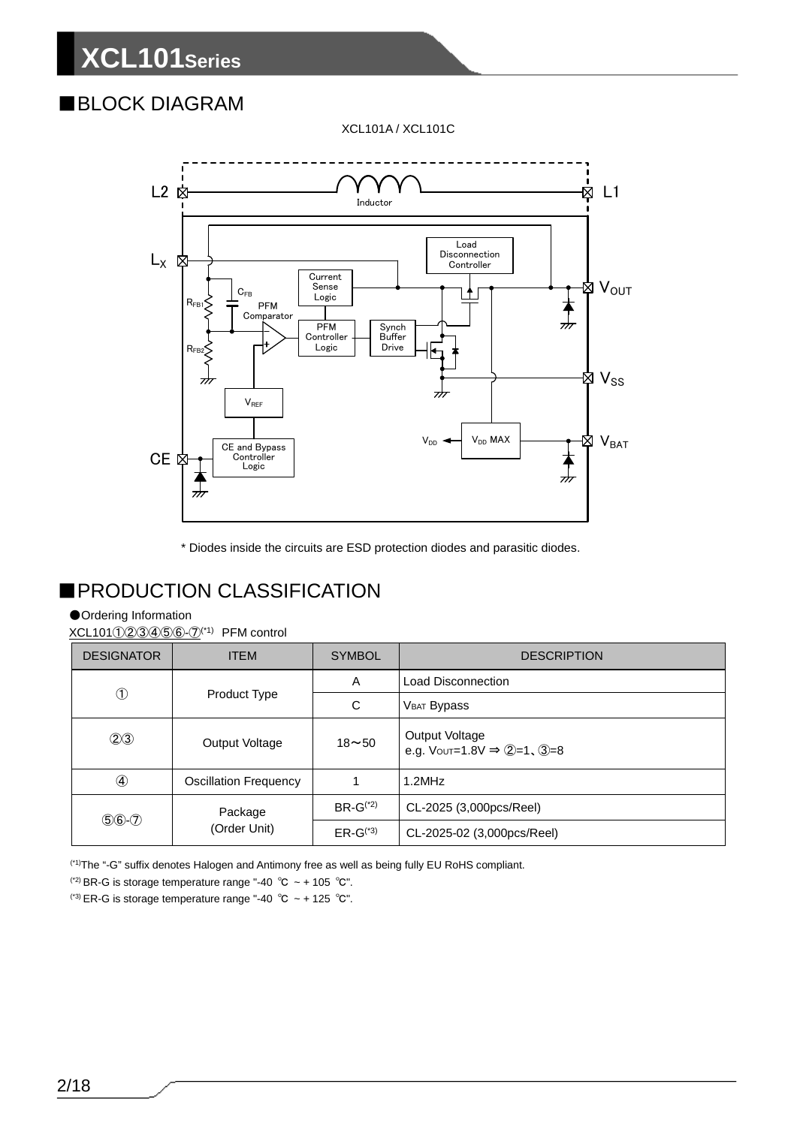### ■BLOCK DIAGRAM

XCL101A / XCL101C



\* Diodes inside the circuits are ESD protection diodes and parasitic diodes.

### ■PRODUCTION CLASSIFICATION

#### ●Ordering Information

XCL101①23456-7<sup>(\*1)</sup> PFM control

| <b>DESIGNATOR</b> | <b>ITEM</b>                  | <b>SYMBOL</b> | <b>DESCRIPTION</b>                                                                               |
|-------------------|------------------------------|---------------|--------------------------------------------------------------------------------------------------|
|                   |                              | Α             | Load Disconnection                                                                               |
| $^{\circledR}$    | Product Type                 | C             | <b>VBAT Bypass</b>                                                                               |
| (2)3              | $18 - 50$<br>Output Voltage  |               | Output Voltage<br>e.g. $V_{\text{OUT}} = 1.8 \text{V} \Rightarrow \text{Q} = 1$ , $\text{Q} = 8$ |
|                   | <b>Oscillation Frequency</b> |               | 1.2MHz                                                                                           |
| $$6-2$            | Package                      | $BR-G^{(2)}$  | CL-2025 (3,000pcs/Reel)                                                                          |
|                   | (Order Unit)                 | $ER-G^{(4)}$  | CL-2025-02 (3,000pcs/Reel)                                                                       |

(\*1)The "-G" suffix denotes Halogen and Antimony free as well as being fully EU RoHS compliant.

(\*2) BR-G is storage temperature range "-40  $^{\circ}$ C ~ + 105  $^{\circ}$ C".

(\*3) ER-G is storage temperature range "-40  $^{\circ}$ C ~ + 125  $^{\circ}$ C".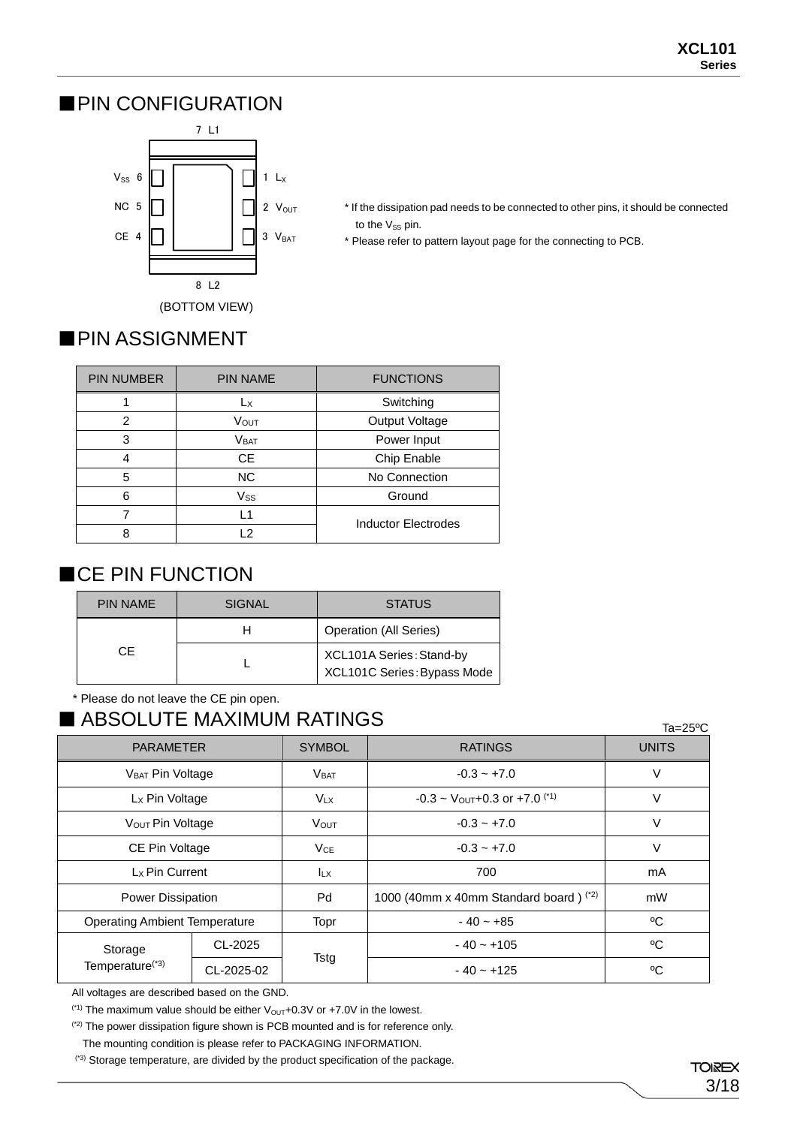#### ■PIN CONFIGURATION



- \* If the dissipation pad needs to be connected to other pins, it should be connected to the Vss pin.
- \* Please refer to pattern layout page for the connecting to PCB.

### ■PIN ASSIGNMENT

| <b>PIN NUMBER</b> | <b>PIN NAME</b> | <b>FUNCTIONS</b>           |
|-------------------|-----------------|----------------------------|
|                   | Lx              | Switching                  |
| 2                 | VOUT            | Output Voltage             |
| 3                 | <b>VBAT</b>     | Power Input                |
|                   | <b>CE</b>       | Chip Enable                |
| 5                 | <b>NC</b>       | No Connection              |
| 6                 | Vss             | Ground                     |
|                   | L1              | <b>Inductor Electrodes</b> |
| Ω                 | $\mathcal{P}$   |                            |

### ■CE PIN FUNCTION

| <b>PIN NAME</b> | <b>SIGNAL</b> | <b>STATUS</b>                                           |
|-----------------|---------------|---------------------------------------------------------|
|                 |               | <b>Operation (All Series)</b>                           |
| CE              |               | XCL101A Series: Stand-by<br>XCL101C Series: Bypass Mode |

\* Please do not leave the CE pin open.

### ■ ABSOLUTE MAXIMUM RATINGS

| ADOULU I E IVIAAIIVIUIVI KATIINUO    |            |               |                                         |              |  |
|--------------------------------------|------------|---------------|-----------------------------------------|--------------|--|
| <b>PARAMETER</b>                     |            | <b>SYMBOL</b> | <b>RATINGS</b>                          | <b>UNITS</b> |  |
| V <sub>BAT</sub> Pin Voltage         |            | <b>VBAT</b>   | $-0.3 - +7.0$                           | V            |  |
| L <sub>x</sub> Pin Voltage           |            | $V_{LX}$      | $-0.3 \sim$ Vout + 0.3 or + 7.0 $(1)$   | V            |  |
| V <sub>OUT</sub> Pin Voltage         |            | <b>V</b> OUT  | $-0.3 - +7.0$                           | V            |  |
| CE Pin Voltage                       |            | VCE           | $-0.3 - +7.0$                           | V            |  |
| Lx Pin Current                       |            | <b>ILX</b>    | 700                                     | mA           |  |
| <b>Power Dissipation</b>             |            | Pd            | 1000 (40mm x 40mm Standard board) $(2)$ | mW           |  |
| <b>Operating Ambient Temperature</b> |            | Topr          | $-40 - +85$                             | °C           |  |
| Storage                              | CL-2025    |               | $-40 - +105$                            | °C           |  |
| Temperature <sup>(*3)</sup>          | CL-2025-02 | Tstg          | $-40 - +125$                            | °C           |  |

All voltages are described based on the GND.

<sup>(\*1)</sup> The maximum value should be either  $V_{\text{OUT}}+0.3V$  or  $+7.0V$  in the lowest.

(\*2) The power dissipation figure shown is PCB mounted and is for reference only.

The mounting condition is please refer to PACKAGING INFORMATION.

(\*3) Storage temperature, are divided by the product specification of the package.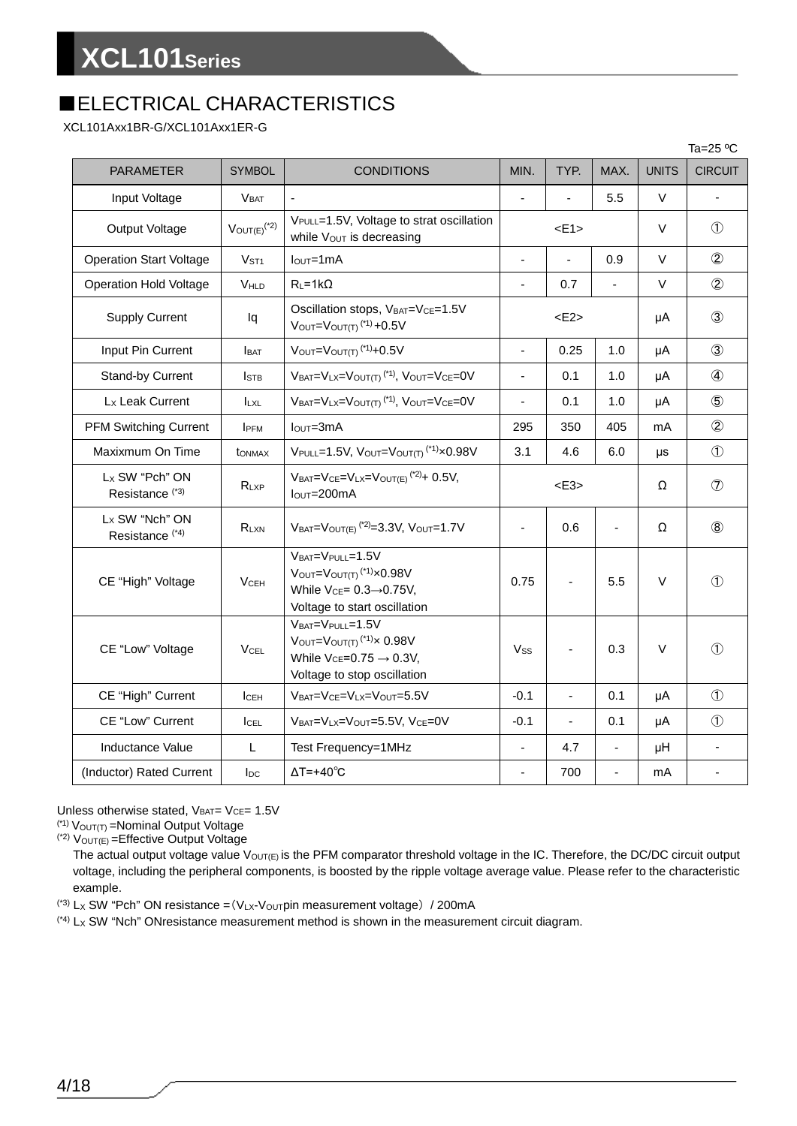### ■ELECTRICAL CHARACTERISTICS

XCL101Axx1BR-G/XCL101Axx1ER-G

|                                                          |                              |                                                                                                                                    |                |                |                |                | Ta=25 $\mathrm{^o}\mathrm{C}$ |
|----------------------------------------------------------|------------------------------|------------------------------------------------------------------------------------------------------------------------------------|----------------|----------------|----------------|----------------|-------------------------------|
| <b>PARAMETER</b>                                         | <b>SYMBOL</b>                | <b>CONDITIONS</b>                                                                                                                  | MIN.           | TYP.           | MAX.           | <b>UNITS</b>   | <b>CIRCUIT</b>                |
| Input Voltage                                            | <b>VBAT</b>                  |                                                                                                                                    | L.             |                | 5.5            | V              | ÷,                            |
| Output Voltage                                           | $V_{OUT(E)}$ <sup>(*2)</sup> | VPULL=1.5V, Voltage to strat oscillation<br>while Vout is decreasing                                                               |                | E1             |                | $\vee$         | $\circled{1}$                 |
| <b>Operation Start Voltage</b>                           | V <sub>ST1</sub>             | $IOUT=1mA$                                                                                                                         | $\overline{a}$ | $\blacksquare$ | 0.9            | V              | $\circled{2}$                 |
| <b>Operation Hold Voltage</b>                            | VHLD                         | $R_L = 1k\Omega$                                                                                                                   | $\blacksquare$ | 0.7            | ÷,             | $\vee$         | $\circled{2}$                 |
| <b>Supply Current</b>                                    | lq                           | Oscillation stops, VBAT=VCE=1.5V<br>$V_{\text{OUT}} = V_{\text{OUT(T)}}$ <sup>(*1)</sup> +0.5V                                     |                | E2             |                | μA             | $\circled{3}$                 |
| Input Pin Current                                        | <b>I</b> BAT                 | $V_{\text{OUT}} = V_{\text{OUT(T)}}$ <sup>(*1)</sup> +0.5V                                                                         | $\blacksquare$ | 0.25           | 1.0            | μA             | $\circled{3}$                 |
| Stand-by Current                                         | <b>I</b> stb                 | VBAT=VLX=VOUT(T) <sup>(*1)</sup> , VOUT=VCE=0V                                                                                     | $\blacksquare$ | 0.1            | 1.0            | μA             | $\circled{4}$                 |
| L <sub>x</sub> Leak Current                              | <b>LXL</b>                   | $V_{BAT} = V_{LX} = V_{OUT(T)}$ <sup>(*1)</sup> , $V_{OUT} = V_{CE} = 0V$                                                          | $\blacksquare$ | 0.1            | 1.0            | μA             | $\circledS$                   |
| <b>PFM Switching Current</b>                             | <b>IPFM</b>                  | $IOUT=3mA$                                                                                                                         | 295            | 350            | 405            | mA             | $\circled{2}$                 |
| Maxixmum On Time                                         | <b>t</b> ONMAX               | $V_{\text{PULL}} = 1.5V$ , $V_{\text{OUT}} = V_{\text{OUT}(T)}$ <sup>(*1)</sup> $\times$ 0.98V                                     | 3.1            | 4.6            | 6.0            | μs             | $\circled{1}$                 |
| L <sub>x</sub> SW "Pch" ON<br>Resistance <sup>(*3)</sup> | $R_{LXP}$                    | $V_{BAT} = V_{CE} = V_{LX} = V_{OUT(E)}$ <sup>(*2)</sup> + 0.5V,<br>$IOUT=200mA$                                                   | $<$ E3>        |                | Ω              | $\circledcirc$ |                               |
| Lx SW "Nch" ON<br>Resistance <sup>(*4)</sup>             | $R_{LXN}$                    | $V_{BAT} = V_{OUT(E)}$ <sup>(2)</sup> = 3.3V, $V_{OUT} = 1.7V$                                                                     | $\blacksquare$ | 0.6            | $\blacksquare$ | Ω              | $\circledR$                   |
| CE "High" Voltage                                        | $V$ CEH                      | VBAT=VPULL=1.5V<br>VOUT=VOUT(T) <sup>(*1)</sup> ×0.98V<br>While $V_{CE} = 0.3 \rightarrow 0.75V$ ,<br>Voltage to start oscillation | 0.75           |                | 5.5            | $\vee$         | $\circled{1}$                 |
| CE "Low" Voltage                                         | V <sub>CEL</sub>             | VBAT=VPULL=1.5V<br>VOUT=VOUT(T) <sup>(*1)</sup> × 0.98V<br>While $V_{CE} = 0.75 \rightarrow 0.3V$ ,<br>Voltage to stop oscillation | Vss            |                | 0.3            | $\vee$         | $\circled{1}$                 |
| CE "High" Current                                        | ICEH                         | VBAT=VCE=VLX=VOUT=5.5V                                                                                                             | $-0.1$         | ä,             | 0.1            | μA             | $\circled{1}$                 |
| CE "Low" Current                                         | <b>I</b> CEL                 | VBAT=VLX=VOUT=5.5V, VCE=0V                                                                                                         | $-0.1$         | $\frac{1}{2}$  | 0.1            | μA             | $\circled{1}$                 |
| Inductance Value                                         | L                            | Test Frequency=1MHz                                                                                                                |                | 4.7            | ä,             | μH             | ä,                            |
| (Inductor) Rated Current                                 | $I_{DC}$                     | $\Delta T = +40^{\circ}C$                                                                                                          |                | 700            | $\blacksquare$ | mA             |                               |

Unless otherwise stated,  $V_{BAT} = V_{CE} = 1.5V$ 

 $(1)$  V<sub>OUT(T)</sub> = Nominal Output Voltage

 $(2)$  V<sub>OUT(E)</sub> = Effective Output Voltage

The actual output voltage value  $V_{OUT(E)}$  is the PFM comparator threshold voltage in the IC. Therefore, the DC/DC circuit output voltage, including the peripheral components, is boosted by the ripple voltage average value. Please refer to the characteristic example.

(\*3) Lx SW "Pch" ON resistance =  $(V_{LX}$ - $V_{OUT}$ pin measurement voltage) / 200mA

 $(4)$  L<sub>X</sub> SW "Nch" ONresistance measurement method is shown in the measurement circuit diagram.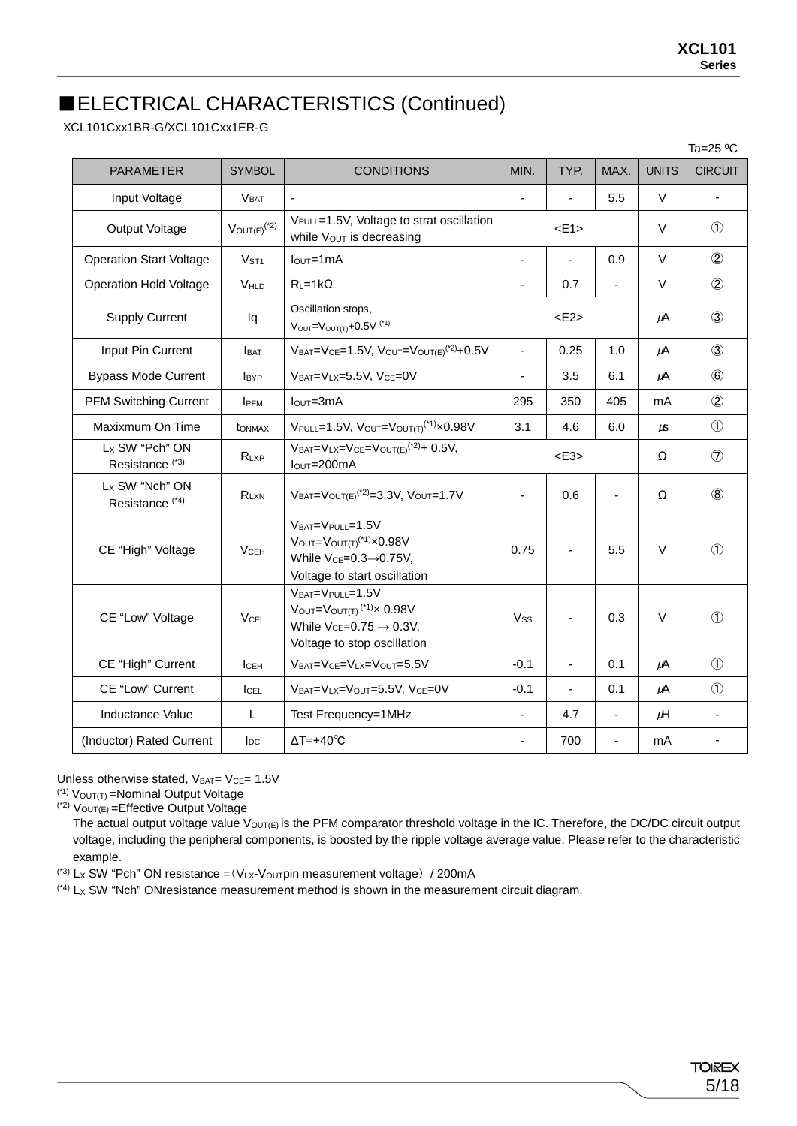### ■ELECTRICAL CHARACTERISTICS (Continued)

XCL101Cxx1BR-G/XCL101Cxx1ER-G

|                                                          |                              |                                                                                                                                                      |                          |                          |                          |              | Ta=25 ºC       |
|----------------------------------------------------------|------------------------------|------------------------------------------------------------------------------------------------------------------------------------------------------|--------------------------|--------------------------|--------------------------|--------------|----------------|
| <b>PARAMETER</b>                                         | <b>SYMBOL</b>                | <b>CONDITIONS</b>                                                                                                                                    | MIN.                     | TYP.                     | MAX.                     | <b>UNITS</b> | <b>CIRCUIT</b> |
| Input Voltage                                            | <b>VBAT</b>                  | $\blacksquare$                                                                                                                                       | $\blacksquare$           |                          | 5.5                      | V            | $\blacksquare$ |
| <b>Output Voltage</b>                                    | $V_{OUT(E)}$ <sup>(*2)</sup> | VPULL=1.5V, Voltage to strat oscillation<br>while Vout is decreasing                                                                                 |                          | < E1                     |                          | $\vee$       | $\circled{1}$  |
| <b>Operation Start Voltage</b>                           | V <sub>ST1</sub>             | $IOUT=1mA$                                                                                                                                           | ÷,                       |                          | 0.9                      | $\vee$       | $\circled{2}$  |
| <b>Operation Hold Voltage</b>                            | VHLD                         | $R_L = 1k\Omega$                                                                                                                                     | ä,                       | 0.7                      | ä,                       | $\vee$       | $\circled{2}$  |
| <b>Supply Current</b>                                    | lq                           | Oscillation stops,<br>$V_{\text{OUT}} = V_{\text{OUT}(T)} + 0.5V$ <sup>(*1)</sup>                                                                    |                          | $<$ E2>                  |                          | μA           | $\circled{3}$  |
| Input Pin Current                                        | <b>IBAT</b>                  | $V_{BAT} = V_{CE} = 1.5V$ , $V_{OUT} = V_{OUT(E)}$ <sup>(*2)</sup> +0.5V                                                                             | $\blacksquare$           | 0.25                     | 1.0                      | μA           | $\circled{3}$  |
| <b>Bypass Mode Current</b>                               | <b>I</b> BYP                 | VBAT=VLX=5.5V, VCE=0V                                                                                                                                | ÷,                       | 3.5                      | 6.1                      | μA           | $\circledast$  |
| <b>PFM Switching Current</b>                             | IPFM                         | $IOUT=3mA$                                                                                                                                           | 295                      | 350                      | 405                      | mA           | $\circled{2}$  |
| Maxixmum On Time                                         | <b>t</b> ONMAX               | $V$ PULL=1.5V, $V_{\text{OUT}}=V_{\text{OUT}(T)}$ <sup>(*1)</sup> $\times$ 0.98V                                                                     | 3.1                      | 4.6                      | 6.0                      | JS.          | $\circled{1}$  |
| Lx SW "Pch" ON<br>Resistance <sup>(*3)</sup>             | RLXP                         | $V_{BAT}=V_{LX}=V_{CE}=V_{OUT(E)}^{(2)}+0.5V,$<br>$IOUT=200mA$                                                                                       |                          | $<$ E3>                  |                          | Ω            | $\circledcirc$ |
| L <sub>x</sub> SW "Nch" ON<br>Resistance <sup>(*4)</sup> | RLXN                         | $V_{BAT} = V_{OUT(E)}$ <sup>(*2)</sup> =3.3V, $V_{OUT} = 1.7V$                                                                                       | $\blacksquare$           | 0.6                      | $\overline{\phantom{a}}$ | Ω            | (8)            |
| CE "High" Voltage                                        | $V$ CEH                      | VBAT=VPULL=1.5V<br>$V_{\text{OUT}}=V_{\text{OUT(T)}}^{(1)} \times 0.98V$<br>While $V_{CE} = 0.3 \rightarrow 0.75V$ ,<br>Voltage to start oscillation | 0.75                     |                          | 5.5                      | $\vee$       | $\mathcal{L}$  |
| CE "Low" Voltage                                         | <b>V<sub>CEL</sub></b>       | VBAT=VPULL=1.5V<br>$V$ OUT= $V$ OUT(T) <sup>(*1)</sup> $\times$ 0.98V<br>While $V_{CE} = 0.75 \rightarrow 0.3V$ ,<br>Voltage to stop oscillation     | $V_{SS}$                 |                          | 0.3                      | $\vee$       | $\mathcal{L}$  |
| CE "High" Current                                        | I <sub>CEH</sub>             | $V_{BAT} = V_{CE} = V_{LX} = V_{OUT} = 5.5V$                                                                                                         | $-0.1$                   | $\overline{a}$           | 0.1                      | $\mu$ A      | $\circled{1}$  |
| CE "Low" Current                                         | <b>ICEL</b>                  | VBAT=VLX=VOUT=5.5V, VCE=0V                                                                                                                           | $-0.1$                   | $\overline{\phantom{a}}$ | 0.1                      | μA           | $\mathcal{L}$  |
| Inductance Value                                         | L                            | Test Frequency=1MHz                                                                                                                                  | $\overline{\phantom{0}}$ | 4.7                      | $\blacksquare$           | μH           | $\blacksquare$ |
| (Inductor) Rated Current                                 | $I_{DC}$                     | $\Delta T = +40^{\circ}C$                                                                                                                            |                          | 700                      | $\blacksquare$           | mA           |                |

Unless otherwise stated,  $V_{BAT}= V_{CE}= 1.5V$ 

 $(1)$  V<sub>OUT(T)</sub> = Nominal Output Voltage

 $(2)$   $V_{\text{OUT}}(E)$  = Effective Output Voltage

The actual output voltage value V<sub>OUT(E)</sub> is the PFM comparator threshold voltage in the IC. Therefore, the DC/DC circuit output voltage, including the peripheral components, is boosted by the ripple voltage average value. Please refer to the characteristic example.

(\*3) Lx SW "Pch" ON resistance =  $(V_Lx-V_0u_T$ pin measurement voltage) / 200mA

 $(4)$  L<sub>X</sub> SW "Nch" ONresistance measurement method is shown in the measurement circuit diagram.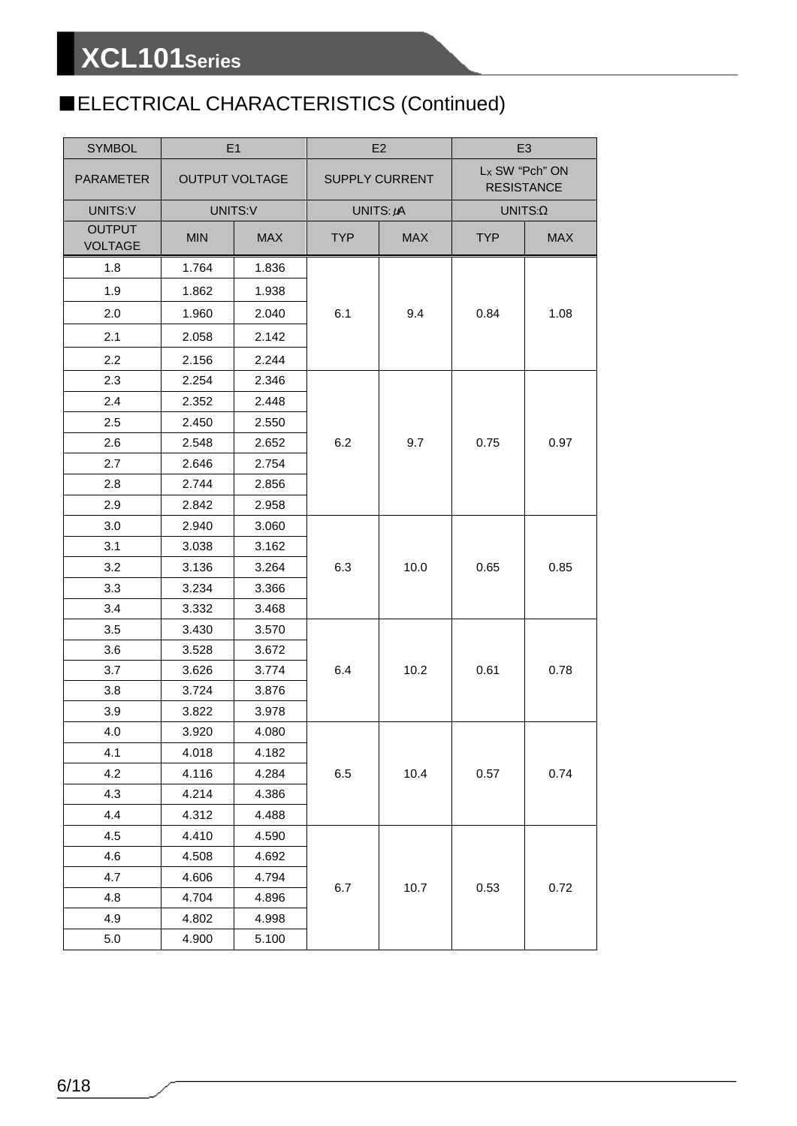## ■ELECTRICAL CHARACTERISTICS (Continued)

| <b>SYMBOL</b>                   |            | E1                    | E <sub>2</sub> |                       | E <sub>3</sub> |                                     |
|---------------------------------|------------|-----------------------|----------------|-----------------------|----------------|-------------------------------------|
| PARAMETER                       |            | <b>OUTPUT VOLTAGE</b> |                | <b>SUPPLY CURRENT</b> |                | Lx SW "Pch" ON<br><b>RESISTANCE</b> |
| UNITS:V                         |            | UNITS:V               |                | UNITS: $\mu$ A        |                | $UNITS: \Omega$                     |
| <b>OUTPUT</b><br><b>VOLTAGE</b> | <b>MIN</b> | <b>MAX</b>            | <b>TYP</b>     | <b>MAX</b>            | <b>TYP</b>     | <b>MAX</b>                          |
| 1.8                             | 1.764      | 1.836                 |                |                       |                |                                     |
| 1.9                             | 1.862      | 1.938                 |                |                       |                |                                     |
| 2.0                             | 1.960      | 2.040                 | 6.1            | 9.4                   | 0.84           | 1.08                                |
| 2.1                             | 2.058      | 2.142                 |                |                       |                |                                     |
| 2.2                             | 2.156      | 2.244                 |                |                       |                |                                     |
| 2.3                             | 2.254      | 2.346                 |                |                       |                |                                     |
| 2.4                             | 2.352      | 2.448                 |                |                       |                |                                     |
| 2.5                             | 2.450      | 2.550                 |                |                       |                | 0.97                                |
| 2.6                             | 2.548      | 2.652                 | 6.2            | 9.7                   | 0.75           |                                     |
| 2.7                             | 2.646      | 2.754                 |                |                       |                |                                     |
| 2.8                             | 2.744      | 2.856                 |                |                       |                |                                     |
| 2.9                             | 2.842      | 2.958                 |                |                       |                |                                     |
| 3.0                             | 2.940      | 3.060                 |                |                       |                |                                     |
| 3.1                             | 3.038      | 3.162                 |                | 10.0                  |                |                                     |
| 3.2                             | 3.136      | 3.264                 | 6.3            |                       | 0.65           | 0.85                                |
| 3.3                             | 3.234      | 3.366                 |                |                       |                |                                     |
| 3.4                             | 3.332      | 3.468                 |                |                       |                |                                     |
| 3.5                             | 3.430      | 3.570                 |                |                       | 0.61           |                                     |
| 3.6                             | 3.528      | 3.672                 |                |                       |                | 0.78                                |
| 3.7                             | 3.626      | 3.774                 | 6.4            | 10.2                  |                |                                     |
| 3.8                             | 3.724      | 3.876                 |                |                       |                |                                     |
| 3.9                             | 3.822      | 3.978                 |                |                       |                |                                     |
| 4.0                             | 3.920      | 4.080                 |                |                       |                |                                     |
| 4.1                             | 4.018      | 4.182                 |                |                       |                |                                     |
| 4.2                             | 4.116      | 4.284                 | 6.5            | 10.4                  | 0.57           | 0.74                                |
| 4.3                             | 4.214      | 4.386                 |                |                       |                |                                     |
| 4.4                             | 4.312      | 4.488                 |                |                       |                |                                     |
| 4.5                             | 4.410      | 4.590                 |                |                       |                |                                     |
| 4.6                             | 4.508      | 4.692                 |                |                       |                |                                     |
| 4.7                             | 4.606      | 4.794                 | 6.7            | 10.7                  | 0.53           | 0.72                                |
| 4.8                             | 4.704      | 4.896                 |                |                       |                |                                     |
| 4.9                             | 4.802      | 4.998                 |                |                       |                |                                     |
| 5.0                             | 4.900      | 5.100                 |                |                       |                |                                     |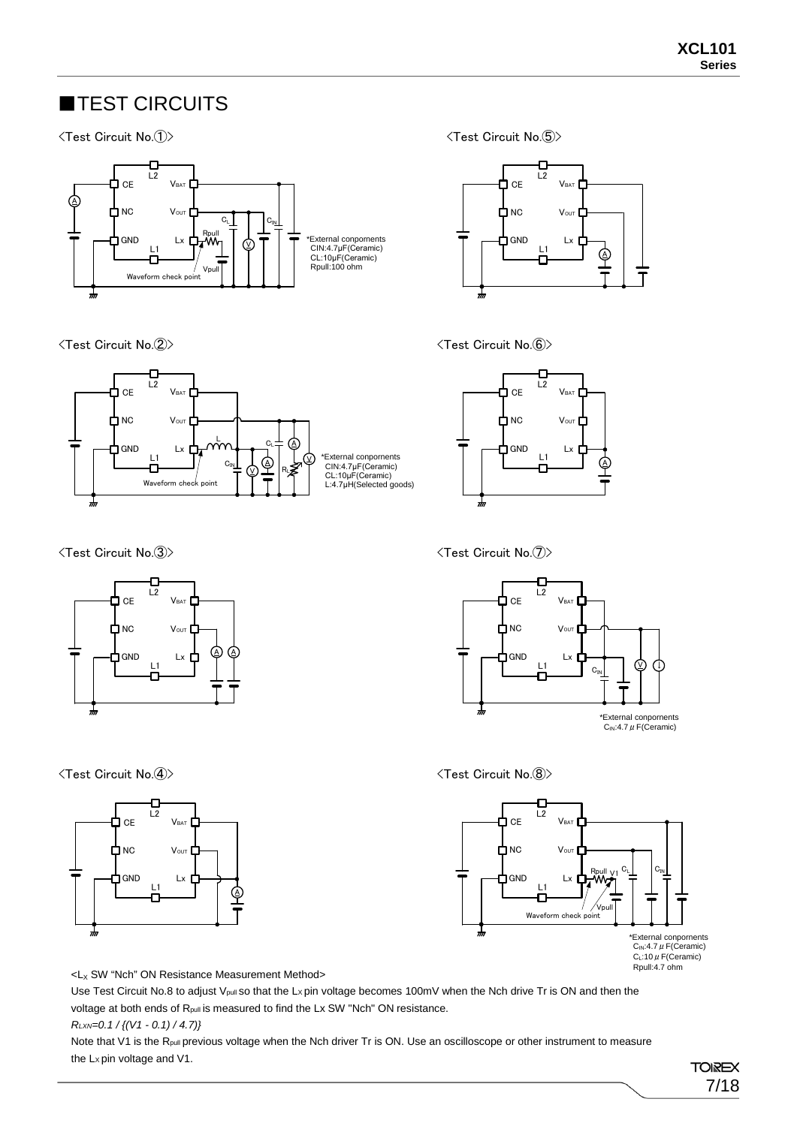### **TEST CIRCUITS**

#### <Test Circuit No.①>



<Test Circuit No.②>



<Test Circuit No.③>



<Test Circuit No.④>



<Test Circuit No.⑤>



<Test Circuit No.⑥>



<Test Circuit No.⑦>



#### <Test Circuit No.⑧>



 $-L_X$  SW "Nch" ON Resistance Measurement Method>

Use Test Circuit No.8 to adjust V<sub>pull</sub> so that the Lx pin voltage becomes 100mV when the Nch drive Tr is ON and then the voltage at both ends of R<sub>pull</sub> is measured to find the Lx SW "Nch" ON resistance.

*RLXN=0.1 / {(V1 - 0.1) / 4.7)}*

Note that V1 is the R<sub>pull</sub> previous voltage when the Nch driver Tr is ON. Use an oscilloscope or other instrument to measure the Lx pin voltage and V1.

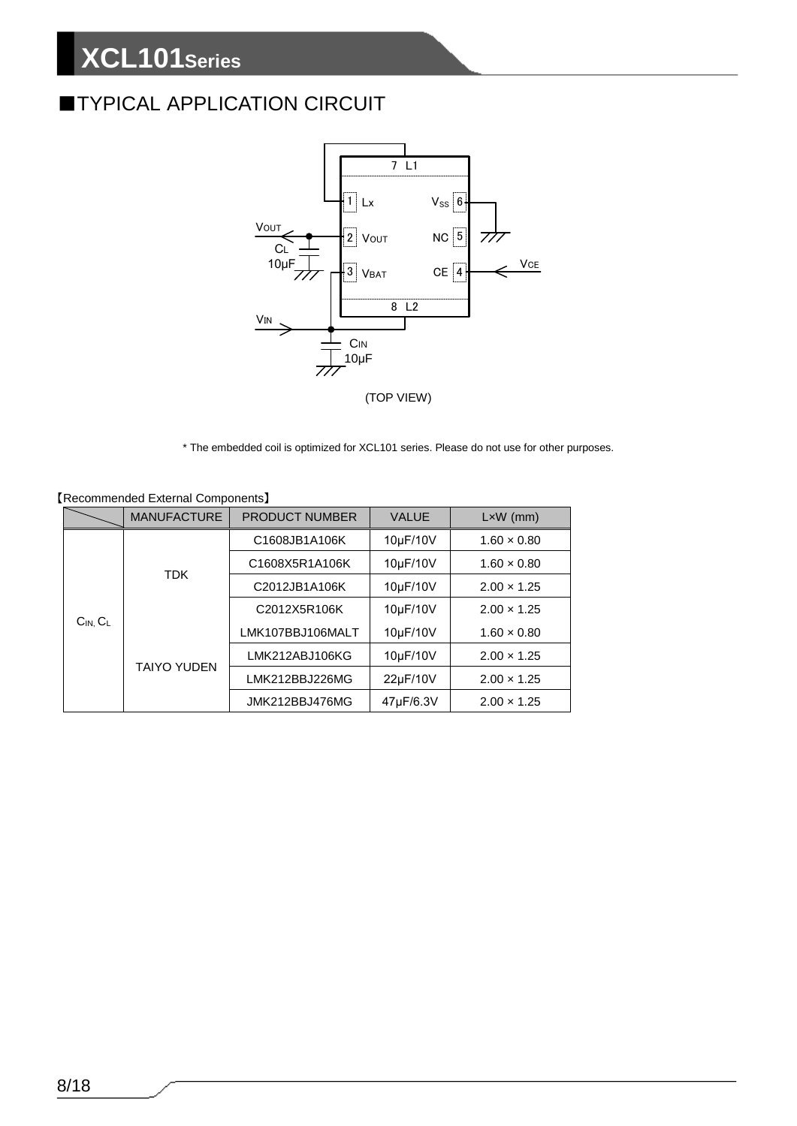### **■TYPICAL APPLICATION CIRCUIT**



\* The embedded coil is optimized for XCL101 series. Please do not use for other purposes.

|                  | <b>MANUFACTURE</b> | <b>PRODUCT NUMBER</b> | <b>VALUE</b> | $L \times W$ (mm)  |
|------------------|--------------------|-----------------------|--------------|--------------------|
|                  |                    | C1608JB1A106K         | 10µF/10V     | $1.60 \times 0.80$ |
|                  |                    | C1608X5R1A106K        | 10µF/10V     | $1.60 \times 0.80$ |
|                  | <b>TDK</b>         | C2012JB1A106K         | 10µF/10V     | $2.00 \times 1.25$ |
|                  |                    | C2012X5R106K          | 10µF/10V     | $2.00 \times 1.25$ |
| $C_{IN}$ , $C_L$ | <b>TAIYO YUDEN</b> | LMK107BBJ106MALT      | 10µF/10V     | $1.60 \times 0.80$ |
|                  |                    | LMK212ABJ106KG        | 10µF/10V     | $2.00 \times 1.25$ |
|                  |                    | LMK212BBJ226MG        | 22µF/10V     | $2.00 \times 1.25$ |
|                  |                    | JMK212BBJ476MG        | 47µF/6.3V    | $2.00 \times 1.25$ |

|  | [Recommended External Components] |
|--|-----------------------------------|
|--|-----------------------------------|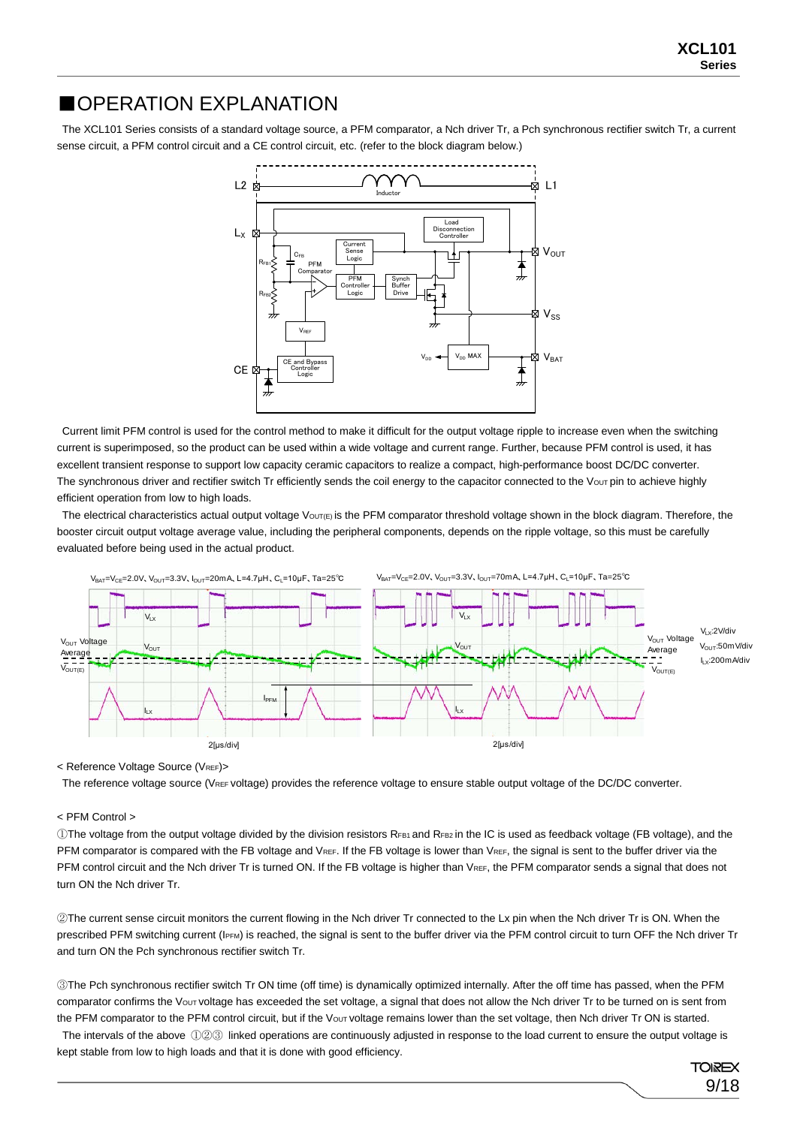#### ■OPERATION EXPLANATION

The XCL101 Series consists of a standard voltage source, a PFM comparator, a Nch driver Tr, a Pch synchronous rectifier switch Tr, a current sense circuit, a PFM control circuit and a CE control circuit, etc. (refer to the block diagram below.)



Current limit PFM control is used for the control method to make it difficult for the output voltage ripple to increase even when the switching current is superimposed, so the product can be used within a wide voltage and current range. Further, because PFM control is used, it has excellent transient response to support low capacity ceramic capacitors to realize a compact, high-performance boost DC/DC converter. The synchronous driver and rectifier switch Tr efficiently sends the coil energy to the capacitor connected to the Vour pin to achieve highly efficient operation from low to high loads.

The electrical characteristics actual output voltage VouT(E) is the PFM comparator threshold voltage shown in the block diagram. Therefore, the booster circuit output voltage average value, including the peripheral components, depends on the ripple voltage, so this must be carefully evaluated before being used in the actual product.



< Reference Voltage Source (VREF)>

The reference voltage source (VREF voltage) provides the reference voltage to ensure stable output voltage of the DC/DC converter.

#### < PFM Control >

OThe voltage from the output voltage divided by the division resistors RFB1 and RFB2 in the IC is used as feedback voltage (FB voltage), and the PFM comparator is compared with the FB voltage and VREF. If the FB voltage is lower than VREF, the signal is sent to the buffer driver via the PFM control circuit and the Nch driver Tr is turned ON. If the FB voltage is higher than VREF, the PFM comparator sends a signal that does not turn ON the Nch driver Tr.

②The current sense circuit monitors the current flowing in the Nch driver Tr connected to the Lx pin when the Nch driver Tr is ON. When the prescribed PFM switching current (IPFM) is reached, the signal is sent to the buffer driver via the PFM control circuit to turn OFF the Nch driver Tr and turn ON the Pch synchronous rectifier switch Tr.

③The Pch synchronous rectifier switch Tr ON time (off time) is dynamically optimized internally. After the off time has passed, when the PFM comparator confirms the Vout voltage has exceeded the set voltage, a signal that does not allow the Nch driver Tr to be turned on is sent from the PFM comparator to the PFM control circuit, but if the Vout voltage remains lower than the set voltage, then Nch driver Tr ON is started. The intervals of the above ①②③ linked operations are continuously adjusted in response to the load current to ensure the output voltage is

kept stable from low to high loads and that it is done with good efficiency.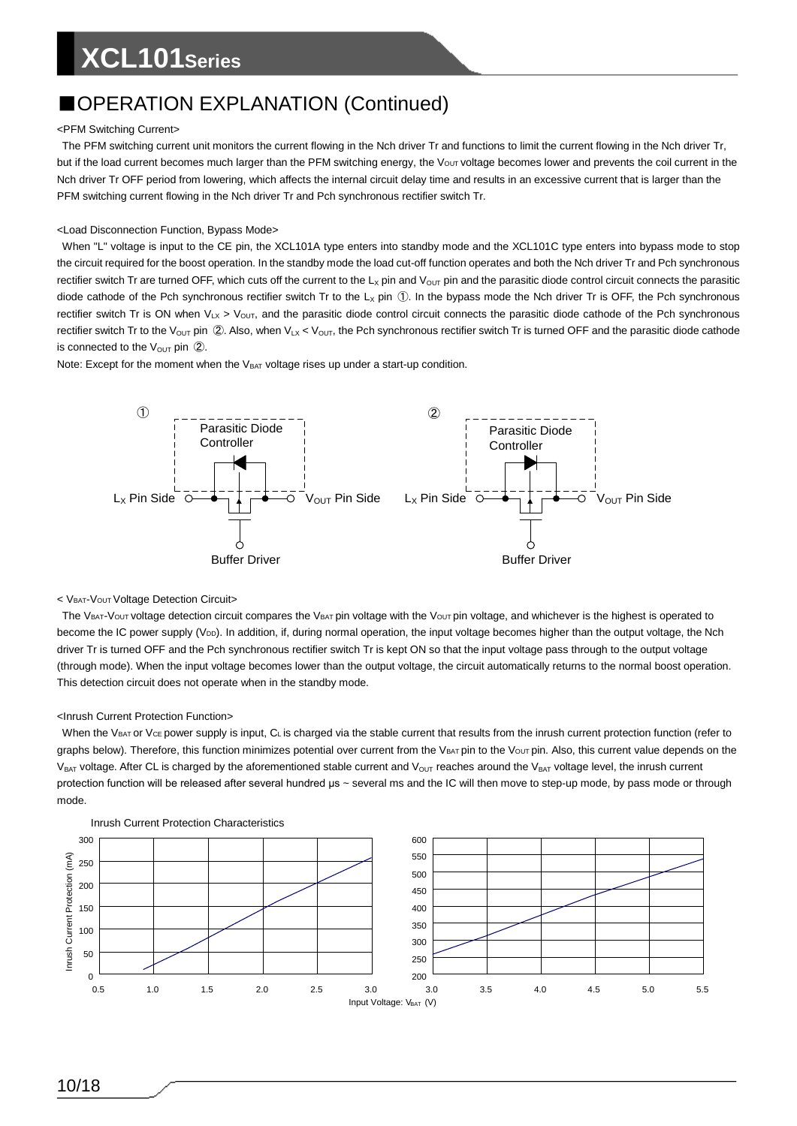### ■OPERATION EXPLANATION (Continued)

#### <PFM Switching Current>

The PFM switching current unit monitors the current flowing in the Nch driver Tr and functions to limit the current flowing in the Nch driver Tr, but if the load current becomes much larger than the PFM switching energy, the Vout voltage becomes lower and prevents the coil current in the Nch driver Tr OFF period from lowering, which affects the internal circuit delay time and results in an excessive current that is larger than the PFM switching current flowing in the Nch driver Tr and Pch synchronous rectifier switch Tr.

#### <Load Disconnection Function, Bypass Mode>

When "L" voltage is input to the CE pin, the XCL101A type enters into standby mode and the XCL101C type enters into bypass mode to stop the circuit required for the boost operation. In the standby mode the load cut-off function operates and both the Nch driver Tr and Pch synchronous rectifier switch Tr are turned OFF, which cuts off the current to the  $L_X$  pin and V<sub>OUT</sub> pin and the parasitic diode control circuit connects the parasitic diode cathode of the Pch synchronous rectifier switch Tr to the  $L<sub>X</sub>$  pin  $\circled{1}$ . In the bypass mode the Nch driver Tr is OFF, the Pch synchronous rectifier switch Tr is ON when  $V_{LX} > V_{OUT}$ , and the parasitic diode control circuit connects the parasitic diode cathode of the Pch synchronous rectifier switch Tr to the V<sub>OUT</sub> pin  $\oslash$ . Also, when V<sub>LX</sub> < V<sub>OUT</sub>, the Pch synchronous rectifier switch Tr is turned OFF and the parasitic diode cathode is connected to the  $V_{\text{OUT}}$  pin  $\textcircled{2}$ .

Note: Except for the moment when the  $V_{BAT}$  voltage rises up under a start-up condition.



#### < VBAT-VOUT Voltage Detection Circuit>

The VBAT-VOUT voltage detection circuit compares the VBAT pin voltage with the VouT pin voltage, and whichever is the highest is operated to become the IC power supply (V<sub>DD</sub>). In addition, if, during normal operation, the input voltage becomes higher than the output voltage, the Nch driver Tr is turned OFF and the Pch synchronous rectifier switch Tr is kept ON so that the input voltage pass through to the output voltage (through mode). When the input voltage becomes lower than the output voltage, the circuit automatically returns to the normal boost operation. This detection circuit does not operate when in the standby mode.

#### <Inrush Current Protection Function>

When the VBAT or VcE power supply is input, CL is charged via the stable current that results from the inrush current protection function (refer to graphs below). Therefore, this function minimizes potential over current from the VBAT pin to the VouT pin. Also, this current value depends on the  $V_{BAT}$  voltage. After CL is charged by the aforementioned stable current and  $V_{OUT}$  reaches around the V<sub>BAT</sub> voltage level, the inrush current protection function will be released after several hundred μs ~ several ms and the IC will then move to step-up mode, by pass mode or through mode.



Inrush Current Protection Characteristics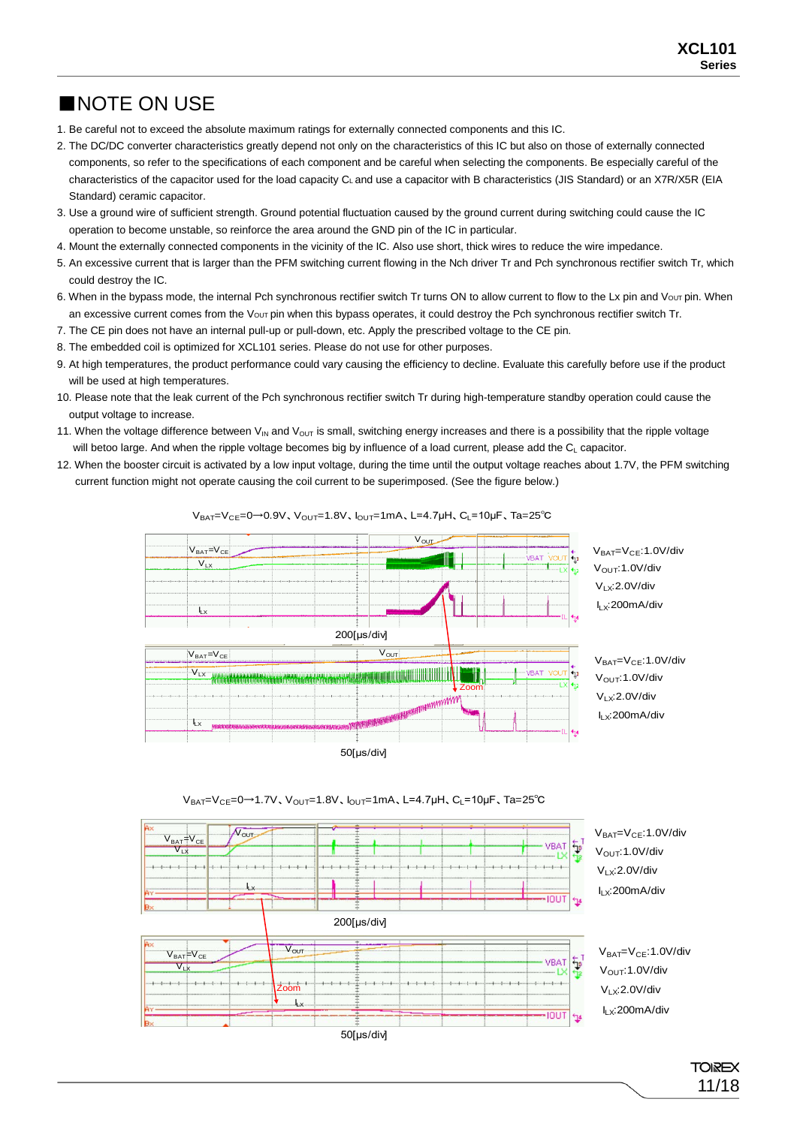### ■NOTE ON USE

- 1. Be careful not to exceed the absolute maximum ratings for externally connected components and this IC.
- 2. The DC/DC converter characteristics greatly depend not only on the characteristics of this IC but also on those of externally connected components, so refer to the specifications of each component and be careful when selecting the components. Be especially careful of the characteristics of the capacitor used for the load capacity CL and use a capacitor with B characteristics (JIS Standard) or an X7R/X5R (EIA Standard) ceramic capacitor.
- 3. Use a ground wire of sufficient strength. Ground potential fluctuation caused by the ground current during switching could cause the IC operation to become unstable, so reinforce the area around the GND pin of the IC in particular.
- 4. Mount the externally connected components in the vicinity of the IC. Also use short, thick wires to reduce the wire impedance.
- 5. An excessive current that is larger than the PFM switching current flowing in the Nch driver Tr and Pch synchronous rectifier switch Tr, which could destroy the IC.
- 6. When in the bypass mode, the internal Pch synchronous rectifier switch Tr turns ON to allow current to flow to the Lx pin and Vour pin. When an excessive current comes from the Vout pin when this bypass operates, it could destroy the Pch synchronous rectifier switch Tr.
- 7. The CE pin does not have an internal pull-up or pull-down, etc. Apply the prescribed voltage to the CE pin.
- 8. The embedded coil is optimized for XCL101 series. Please do not use for other purposes.
- 9. At high temperatures, the product performance could vary causing the efficiency to decline. Evaluate this carefully before use if the product will be used at high temperatures.
- 10. Please note that the leak current of the Pch synchronous rectifier switch Tr during high-temperature standby operation could cause the output voltage to increase.
- 11. When the voltage difference between  $V_{IN}$  and  $V_{OUT}$  is small, switching energy increases and there is a possibility that the ripple voltage will betoo large. And when the ripple voltage becomes big by influence of a load current, please add the C<sub>L</sub> capacitor.
- 12. When the booster circuit is activated by a low input voltage, during the time until the output voltage reaches about 1.7V, the PFM switching current function might not operate causing the coil current to be superimposed. (See the figure below.)

 $V_{BAT} = V_{CE} = 0$  → 0.9V,  $V_{OUT} = 1.8V$ ,  $I_{OUT} = 1$ mA, L=4.7μH, C<sub>L</sub>=10μF, Ta=25<sup>°</sup>C





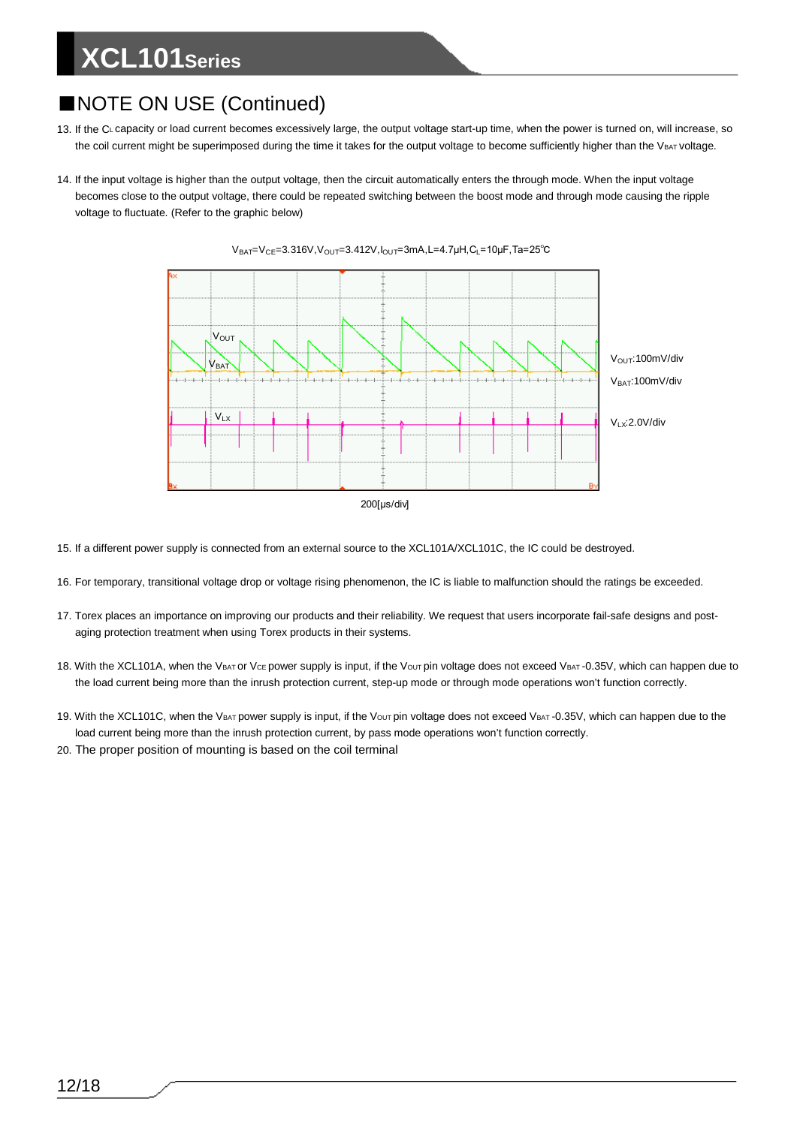### ■NOTE ON USE (Continued)

- 13. If the CL capacity or load current becomes excessively large, the output voltage start-up time, when the power is turned on, will increase, so the coil current might be superimposed during the time it takes for the output voltage to become sufficiently higher than the VBAT voltage.
- 14. If the input voltage is higher than the output voltage, then the circuit automatically enters the through mode. When the input voltage becomes close to the output voltage, there could be repeated switching between the boost mode and through mode causing the ripple voltage to fluctuate. (Refer to the graphic below)



 $V_{BAT}=V_{CE}=3.316V, V_{OUT}=3.412V, I_{OUT}=3mA, L=4.7\mu H, C_L=10\mu F, Ta=25°C$ 

- 15. If a different power supply is connected from an external source to the XCL101A/XCL101C, the IC could be destroyed.
- 16. For temporary, transitional voltage drop or voltage rising phenomenon, the IC is liable to malfunction should the ratings be exceeded.
- 17. Torex places an importance on improving our products and their reliability. We request that users incorporate fail-safe designs and postaging protection treatment when using Torex products in their systems.
- 18. With the XCL101A, when the VBAT or Vce power supply is input, if the Vout pin voltage does not exceed VBAT -0.35V, which can happen due to the load current being more than the inrush protection current, step-up mode or through mode operations won't function correctly.
- 19. With the XCL101C, when the VBAT power supply is input, if the Vout pin voltage does not exceed VBAT -0.35V, which can happen due to the load current being more than the inrush protection current, by pass mode operations won't function correctly.
- 20. The proper position of mounting is based on the coil terminal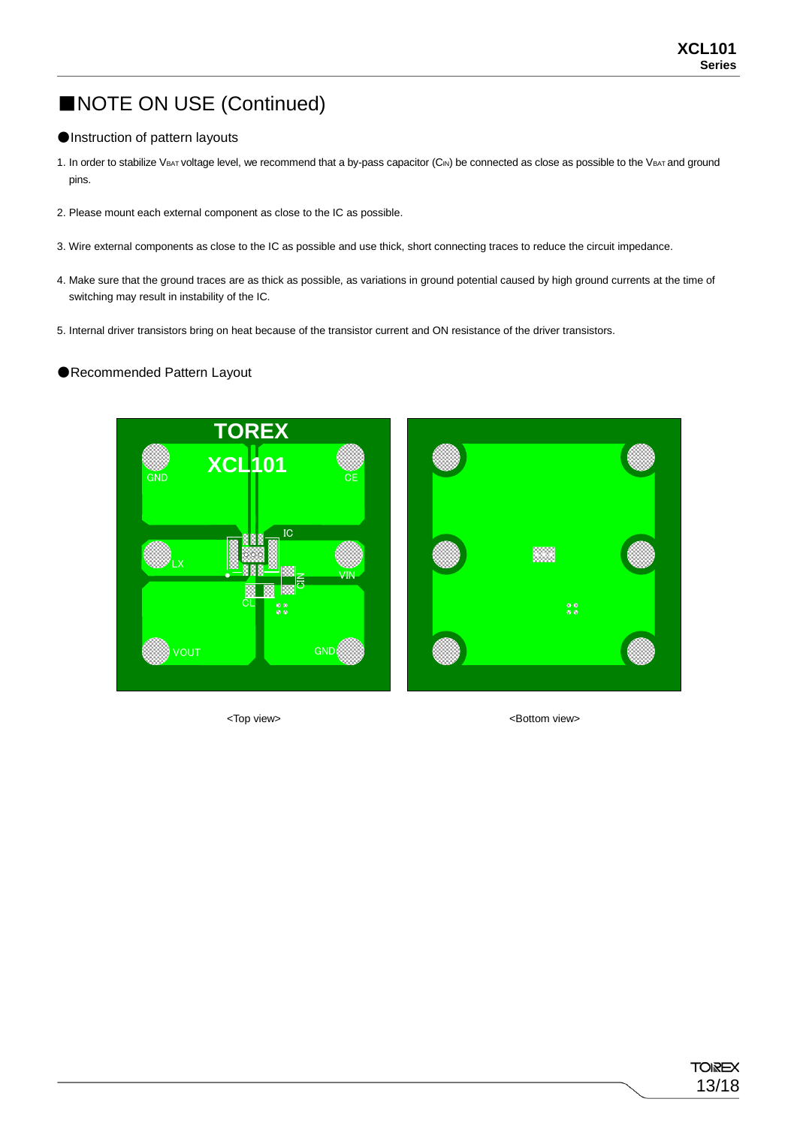### ■NOTE ON USE (Continued)

#### ●Instruction of pattern layouts

- 1. In order to stabilize VBAT voltage level, we recommend that a by-pass capacitor (CIN) be connected as close as possible to the VBAT and ground pins.
- 2. Please mount each external component as close to the IC as possible.
- 3. Wire external components as close to the IC as possible and use thick, short connecting traces to reduce the circuit impedance.
- 4. Make sure that the ground traces are as thick as possible, as variations in ground potential caused by high ground currents at the time of switching may result in instability of the IC.
- 5. Internal driver transistors bring on heat because of the transistor current and ON resistance of the driver transistors.

#### ●Recommended Pattern Layout



<Top view> <Bottom view>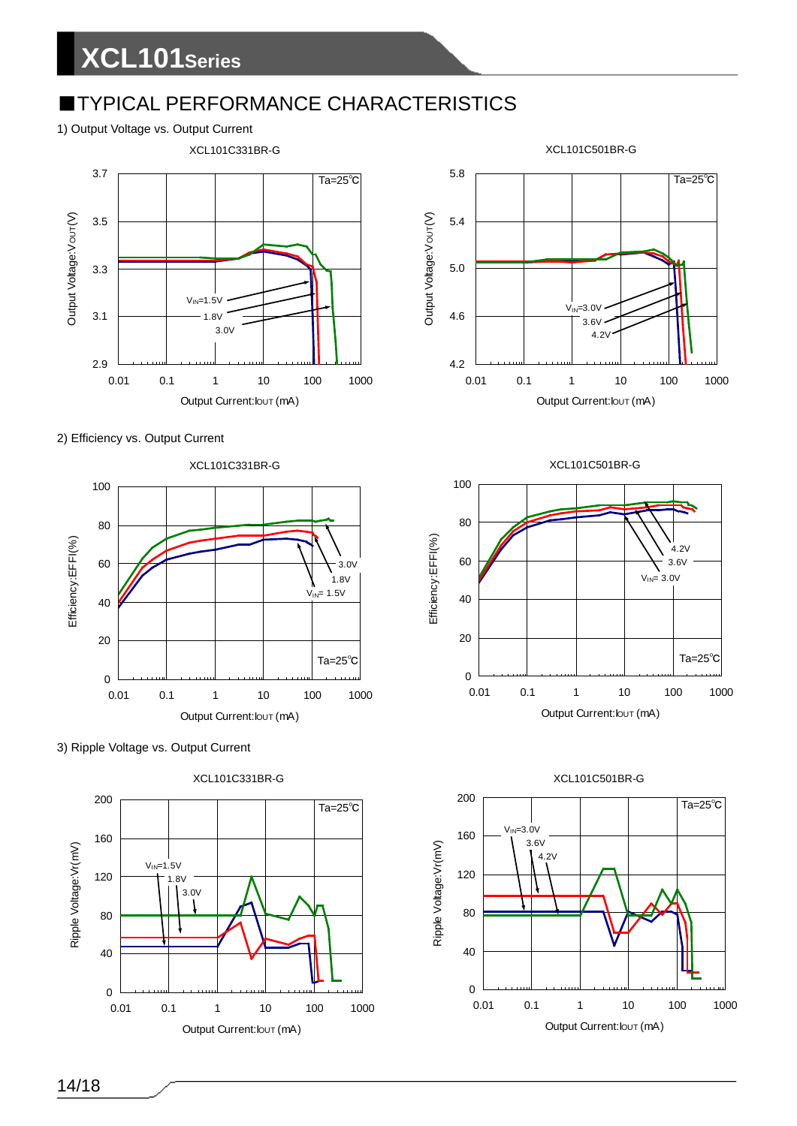### **TYPICAL PERFORMANCE CHARACTERISTICS**

#### 1) Output Voltage vs. Output Current



#### 2) Efficiency vs. Output Current









XCL101C501BR-G

#### Output Current: lout (mA)



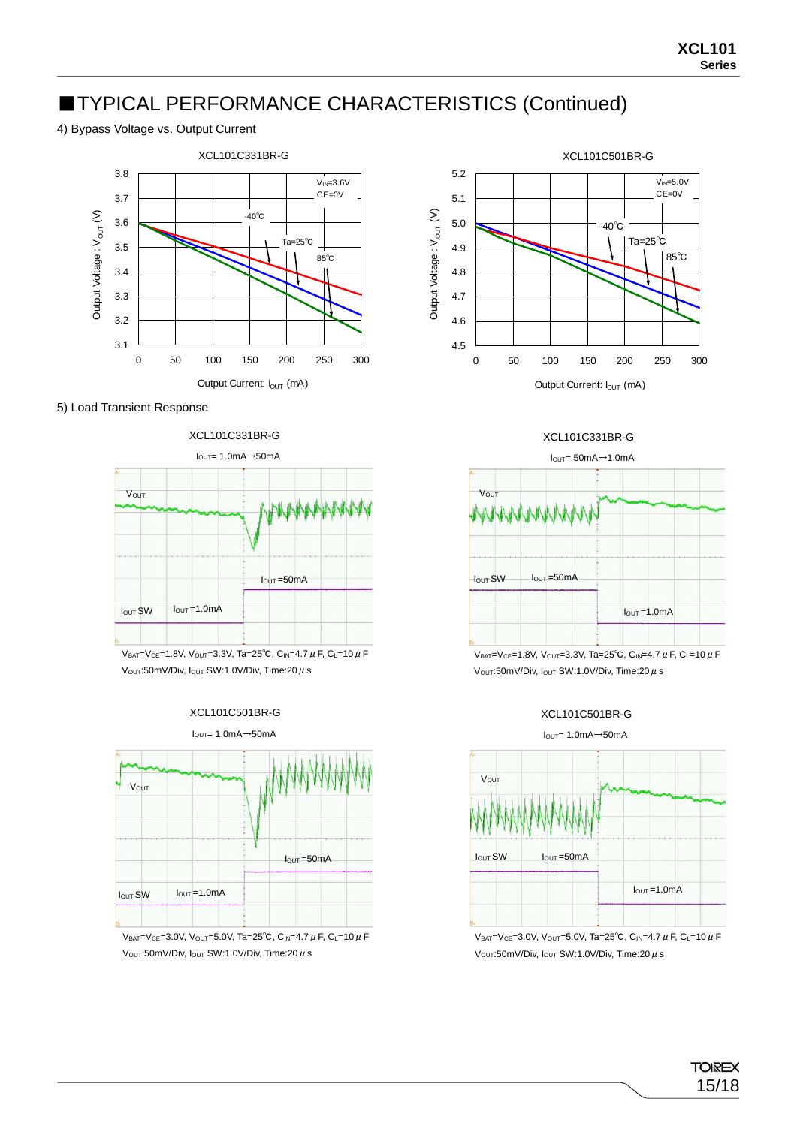### ■TYPICAL PERFORMANCE CHARACTERISTICS (Continued)

#### 4) Bypass Voltage vs. Output Current



5) Load Transient Response

XCL101C331BR-G



VBAT=VCE=1.8V, VOUT=3.3V, Ta=25<sup>°</sup>C, C<sub>IN</sub>=4.7 μ F, C<sub>L</sub>=10 μ F  $V<sub>OUT</sub>:50mV/Div, I<sub>OUT</sub> SW:1.0V/Div, Time:20  $\mu$  s$ 





VBAT=VCE=3.0V, VOUT=5.0V, Ta=25°C, CIN=4.7  $\mu$  F, CL=10  $\mu$  F V<sub>OUT</sub>:50mV/Div,  $I<sub>OUT</sub> SW:1.0V/Div, Time:20  $\mu$  s$ 



#### XCL101C331BR-G



V<sub>OUT</sub>:50mV/Div, I<sub>OUT</sub> SW:1.0V/Div, Time:20 μ s

#### XCL101C501BR-G



VBAT=VCE=3.0V, VOUT=5.0V, Ta=25°C, CIN=4.7  $\mu$  F, CL=10  $\mu$  F  $V<sub>OUT</sub>:50mV/Div, I<sub>OUT</sub> SW:1.0V/Div, Time:20  $\mu$  s$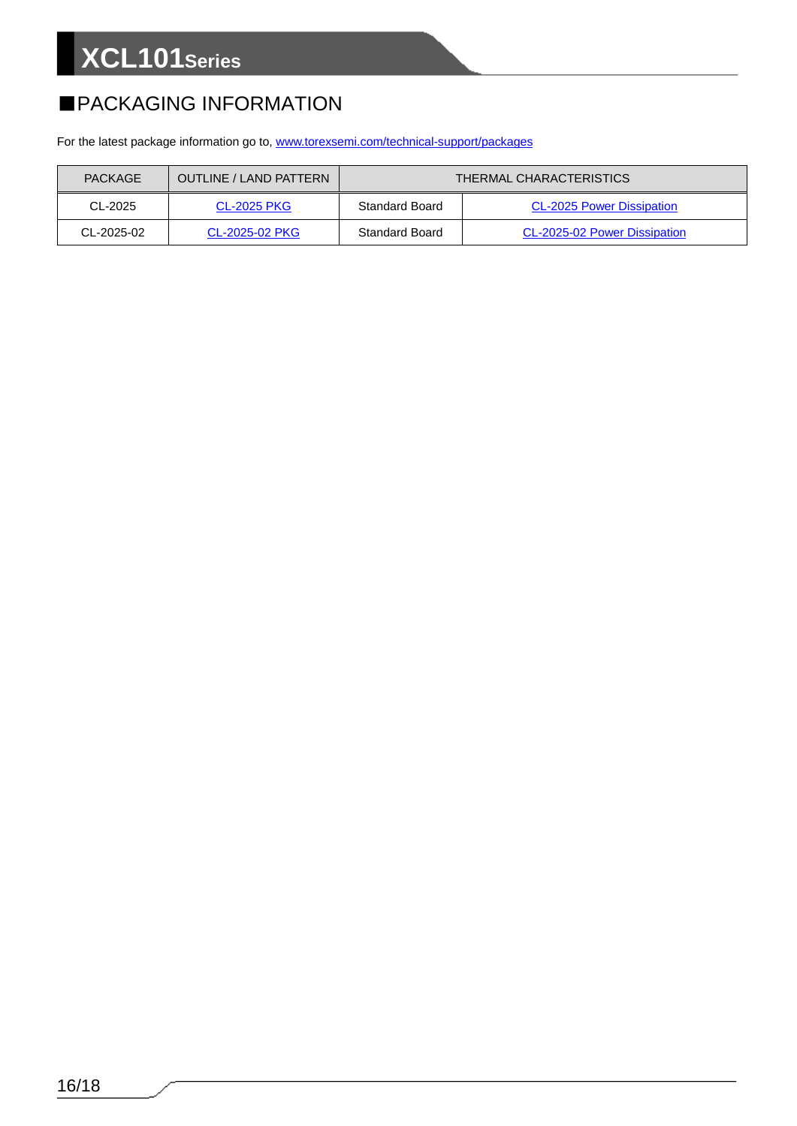### ■PACKAGING INFORMATION

For the latest package information go to, [www.torexsemi.com/technical-support/packages](https://www.torexsemi.com/technical-support/packages/)

| <b>PACKAGE</b> | <b>OUTLINE / LAND PATTERN</b> | <b>THERMAL CHARACTERISTICS</b> |                                  |  |  |
|----------------|-------------------------------|--------------------------------|----------------------------------|--|--|
| CL-2025        | <b>CL-2025 PKG</b>            | Standard Board                 | <b>CL-2025 Power Dissipation</b> |  |  |
| $CL-2025-02$   | CL-2025-02 PKG                | Standard Board                 | CL-2025-02 Power Dissipation     |  |  |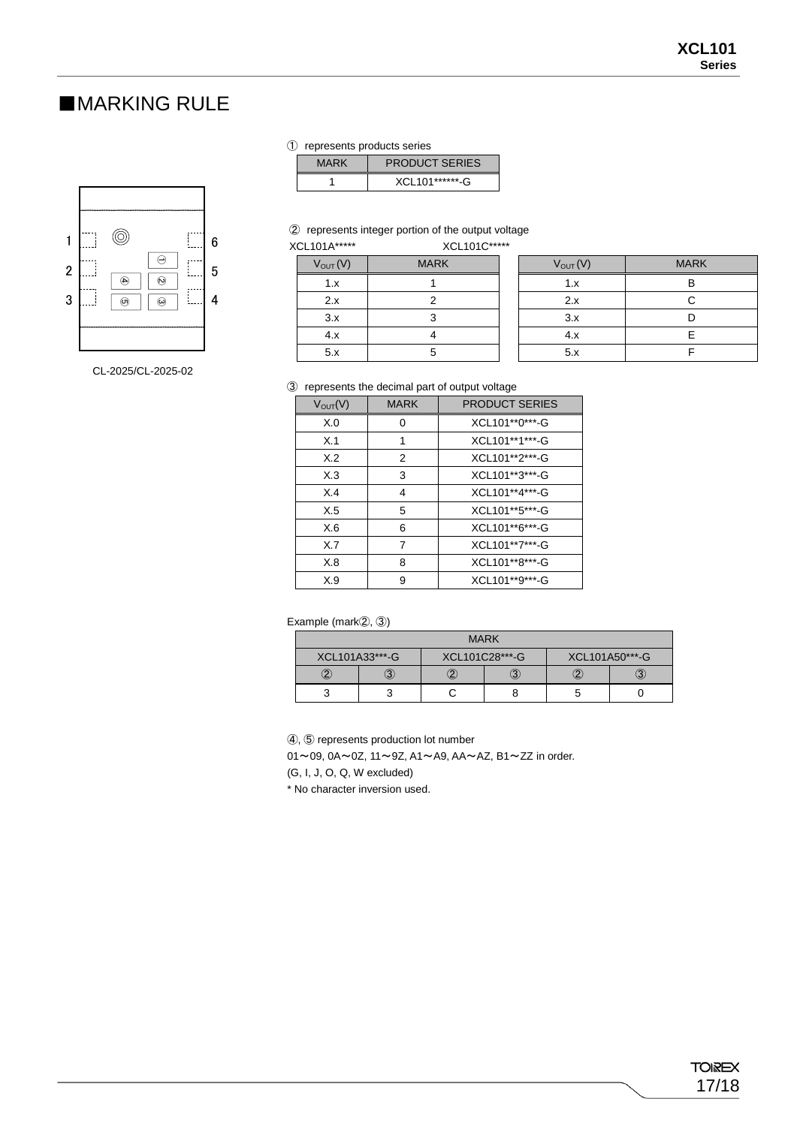#### ■MARKING RULE



CL-2025/CL-2025-02

① represents products series

| <b>MARK</b> | <b>PRODUCT SERIES</b> |
|-------------|-----------------------|
|             | XCL101*******-G       |

② represents integer portion of the output voltage

| XCL101A***** |              | XCL101C***** |  |  |
|--------------|--------------|--------------|--|--|
|              | $V_{OUT}(V)$ | <b>MARK</b>  |  |  |
|              | 1.x          |              |  |  |
|              | 2x           | 2            |  |  |
|              | 3.x          |              |  |  |
|              | 4.x          |              |  |  |
|              | 5.x          |              |  |  |

| הוטו                | <b>AULIVIU</b> |              |             |
|---------------------|----------------|--------------|-------------|
| $V_{\text{OUT}}(V)$ | <b>MARK</b>    | $V_{OUT}(V)$ | <b>MARK</b> |
| 1.x                 |                | 1.x          |             |
| 2.x                 |                | 2.x          |             |
| 3.x                 |                | 3.x          |             |
| 4.x                 |                | 4.x          |             |
| 5.x                 | 5.             | 5.x          |             |

③ represents the decimal part of output voltage

| $V_{\text{OUT}}(V)$ | <b>MARK</b> | <b>PRODUCT SERIES</b> |
|---------------------|-------------|-----------------------|
| X.0                 | o           | XCL101**0***-G        |
| X.1                 | 1           | XCL101**1***-G        |
| X.2                 | 2           | XCL101**2*** G        |
| X.3                 | 3           | XCL101**3***-G        |
| X.4                 | 4           | XCL101**4***-G        |
| X.5                 | 5           | XCL101**5***-G        |
| X.6                 | 6           | XCL101**6***-G        |
| X.7                 | 7           | XCL101**7***-G        |
| X.8                 | 8           | XCL101**8***-G        |
| X.9                 | 9           | XCL101**9***-G        |

Example (mark②, ③)

| <b>MARK</b>    |  |                |  |                |  |  |  |  |  |
|----------------|--|----------------|--|----------------|--|--|--|--|--|
| XCL101A33***-G |  | XCL101C28***-G |  | XCL101A50***-G |  |  |  |  |  |
|                |  |                |  |                |  |  |  |  |  |
|                |  |                |  |                |  |  |  |  |  |

④, ⑤ represents production lot number

01~09, 0A~0Z, 11~9Z, A1~A9, AA~AZ, B1~ZZ in order.

(G, I, J, O, Q, W excluded)

\* No character inversion used.